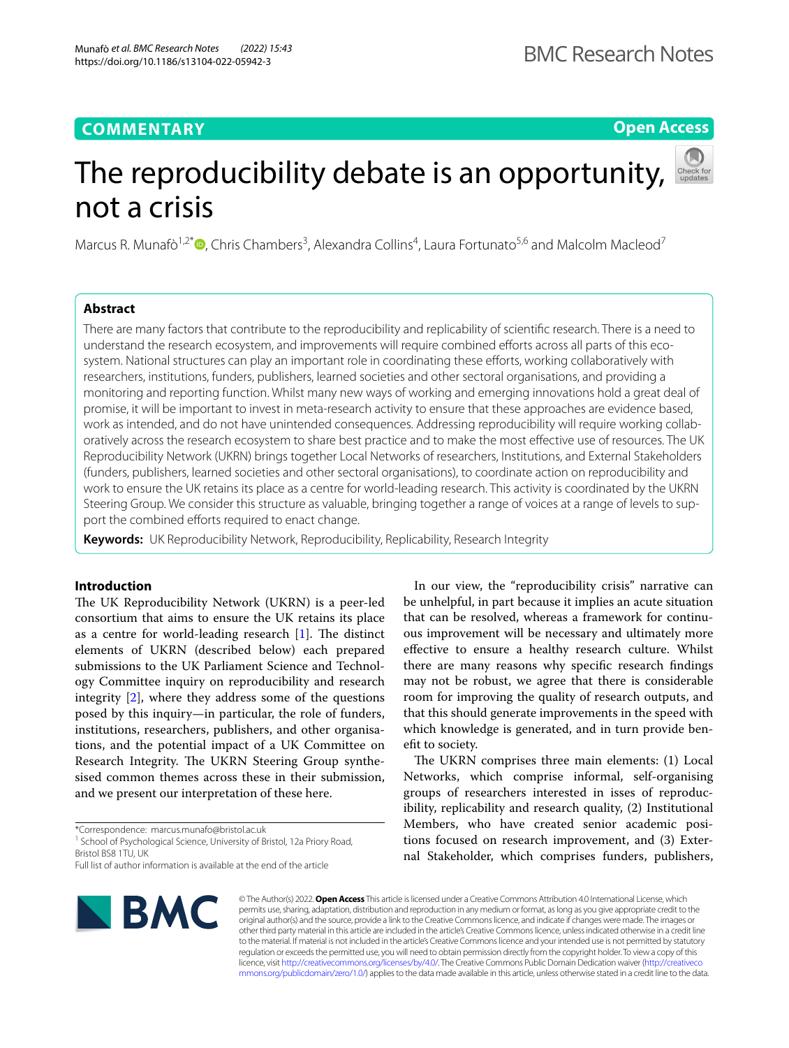**Open Access**

# The reproducibility debate is an opportunity, not a crisis

Marcus R. Munafò<sup>1,2\*</sup>®[,](http://orcid.org/0000-0002-4049-993X) Chris Chambers<sup>3</sup>, Alexandra Collins<sup>4</sup>, Laura Fortunato<sup>5,6</sup> and Malcolm Macleod<sup>7</sup>

# **Abstract**

There are many factors that contribute to the reproducibility and replicability of scientifc research. There is a need to understand the research ecosystem, and improvements will require combined eforts across all parts of this ecosystem. National structures can play an important role in coordinating these efforts, working collaboratively with researchers, institutions, funders, publishers, learned societies and other sectoral organisations, and providing a monitoring and reporting function. Whilst many new ways of working and emerging innovations hold a great deal of promise, it will be important to invest in meta-research activity to ensure that these approaches are evidence based, work as intended, and do not have unintended consequences. Addressing reproducibility will require working collaboratively across the research ecosystem to share best practice and to make the most efective use of resources. The UK Reproducibility Network (UKRN) brings together Local Networks of researchers, Institutions, and External Stakeholders (funders, publishers, learned societies and other sectoral organisations), to coordinate action on reproducibility and work to ensure the UK retains its place as a centre for world-leading research. This activity is coordinated by the UKRN Steering Group. We consider this structure as valuable, bringing together a range of voices at a range of levels to support the combined efforts required to enact change.

**Keywords:** UK Reproducibility Network, Reproducibility, Replicability, Research Integrity

# **Introduction**

The UK Reproducibility Network (UKRN) is a peer-led consortium that aims to ensure the UK retains its place as a centre for world-leading research  $[1]$  $[1]$ . The distinct elements of UKRN (described below) each prepared submissions to the UK Parliament Science and Technology Committee inquiry on reproducibility and research integrity [\[2](#page-2-1)], where they address some of the questions posed by this inquiry—in particular, the role of funders, institutions, researchers, publishers, and other organisations, and the potential impact of a UK Committee on Research Integrity. The UKRN Steering Group synthesised common themes across these in their submission, and we present our interpretation of these here.

\*Correspondence: marcus.munafo@bristol.ac.uk

<sup>1</sup> School of Psychological Science, University of Bristol, 12a Priory Road, Bristol BS8 1TU, UK

be unhelpful, in part because it implies an acute situation that can be resolved, whereas a framework for continuous improvement will be necessary and ultimately more efective to ensure a healthy research culture. Whilst there are many reasons why specifc research fndings may not be robust, we agree that there is considerable room for improving the quality of research outputs, and that this should generate improvements in the speed with which knowledge is generated, and in turn provide beneft to society. The UKRN comprises three main elements: (1) Local

In our view, the "reproducibility crisis" narrative can

Networks, which comprise informal, self-organising groups of researchers interested in isses of reproducibility, replicability and research quality, (2) Institutional Members, who have created senior academic positions focused on research improvement, and (3) External Stakeholder, which comprises funders, publishers,



© The Author(s) 2022. **Open Access** This article is licensed under a Creative Commons Attribution 4.0 International License, which permits use, sharing, adaptation, distribution and reproduction in any medium or format, as long as you give appropriate credit to the original author(s) and the source, provide a link to the Creative Commons licence, and indicate if changes were made. The images or other third party material in this article are included in the article's Creative Commons licence, unless indicated otherwise in a credit line to the material. If material is not included in the article's Creative Commons licence and your intended use is not permitted by statutory regulation or exceeds the permitted use, you will need to obtain permission directly from the copyright holder. To view a copy of this licence, visit [http://creativecommons.org/licenses/by/4.0/.](http://creativecommons.org/licenses/by/4.0/) The Creative Commons Public Domain Dedication waiver ([http://creativeco](http://creativecommons.org/publicdomain/zero/1.0/) [mmons.org/publicdomain/zero/1.0/](http://creativecommons.org/publicdomain/zero/1.0/)) applies to the data made available in this article, unless otherwise stated in a credit line to the data.

Full list of author information is available at the end of the article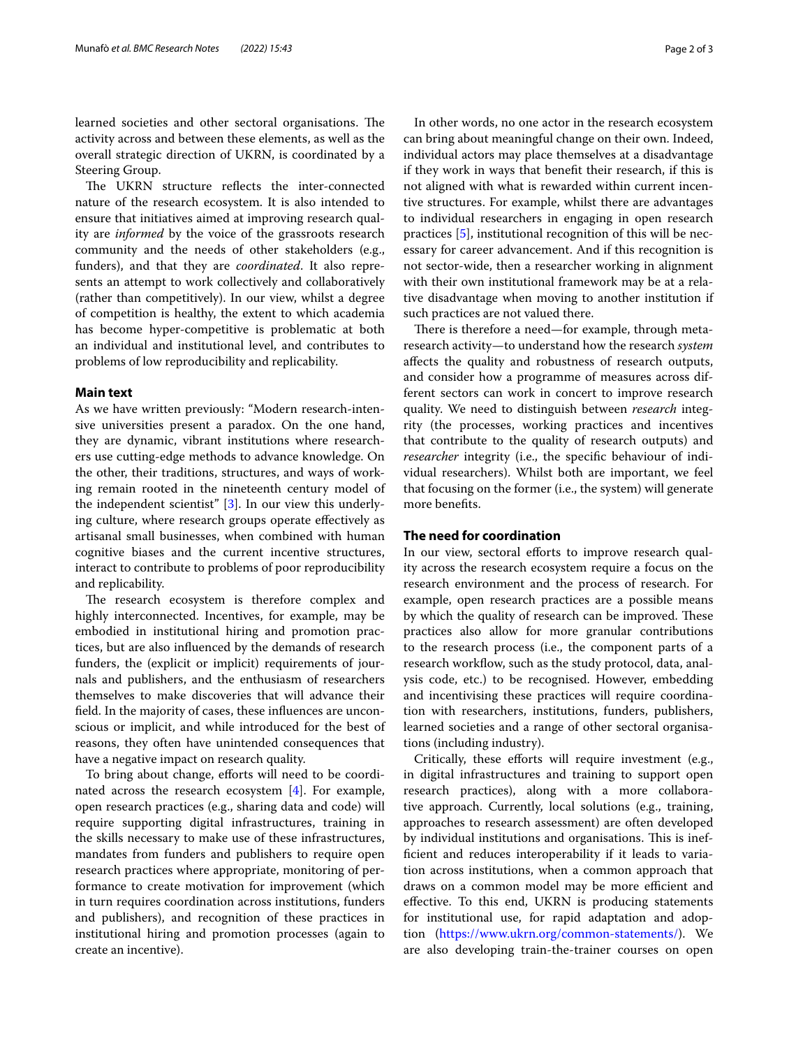learned societies and other sectoral organisations. The activity across and between these elements, as well as the overall strategic direction of UKRN, is coordinated by a Steering Group.

The UKRN structure reflects the inter-connected nature of the research ecosystem. It is also intended to ensure that initiatives aimed at improving research quality are *informed* by the voice of the grassroots research community and the needs of other stakeholders (e.g., funders), and that they are *coordinated*. It also represents an attempt to work collectively and collaboratively (rather than competitively). In our view, whilst a degree of competition is healthy, the extent to which academia has become hyper-competitive is problematic at both an individual and institutional level, and contributes to problems of low reproducibility and replicability.

## **Main text**

As we have written previously: "Modern research-intensive universities present a paradox. On the one hand, they are dynamic, vibrant institutions where researchers use cutting-edge methods to advance knowledge. On the other, their traditions, structures, and ways of working remain rooted in the nineteenth century model of the independent scientist" [[3\]](#page-2-2). In our view this underlying culture, where research groups operate efectively as artisanal small businesses, when combined with human cognitive biases and the current incentive structures, interact to contribute to problems of poor reproducibility and replicability.

The research ecosystem is therefore complex and highly interconnected. Incentives, for example, may be embodied in institutional hiring and promotion practices, but are also infuenced by the demands of research funders, the (explicit or implicit) requirements of journals and publishers, and the enthusiasm of researchers themselves to make discoveries that will advance their feld. In the majority of cases, these infuences are unconscious or implicit, and while introduced for the best of reasons, they often have unintended consequences that have a negative impact on research quality.

To bring about change, efforts will need to be coordinated across the research ecosystem [[4\]](#page-2-3). For example, open research practices (e.g., sharing data and code) will require supporting digital infrastructures, training in the skills necessary to make use of these infrastructures, mandates from funders and publishers to require open research practices where appropriate, monitoring of performance to create motivation for improvement (which in turn requires coordination across institutions, funders and publishers), and recognition of these practices in institutional hiring and promotion processes (again to create an incentive).

In other words, no one actor in the research ecosystem can bring about meaningful change on their own. Indeed, individual actors may place themselves at a disadvantage if they work in ways that beneft their research, if this is not aligned with what is rewarded within current incentive structures. For example, whilst there are advantages to individual researchers in engaging in open research practices [\[5](#page-2-4)], institutional recognition of this will be necessary for career advancement. And if this recognition is not sector-wide, then a researcher working in alignment with their own institutional framework may be at a relative disadvantage when moving to another institution if such practices are not valued there.

There is therefore a need—for example, through metaresearch activity—to understand how the research *system* afects the quality and robustness of research outputs, and consider how a programme of measures across different sectors can work in concert to improve research quality. We need to distinguish between *research* integrity (the processes, working practices and incentives that contribute to the quality of research outputs) and *researcher* integrity (i.e., the specific behaviour of individual researchers). Whilst both are important, we feel that focusing on the former (i.e., the system) will generate more benefts.

## **The need for coordination**

In our view, sectoral efforts to improve research quality across the research ecosystem require a focus on the research environment and the process of research. For example, open research practices are a possible means by which the quality of research can be improved. These practices also allow for more granular contributions to the research process (i.e., the component parts of a research workflow, such as the study protocol, data, analysis code, etc.) to be recognised. However, embedding and incentivising these practices will require coordination with researchers, institutions, funders, publishers, learned societies and a range of other sectoral organisations (including industry).

Critically, these efforts will require investment (e.g., in digital infrastructures and training to support open research practices), along with a more collaborative approach. Currently, local solutions (e.g., training, approaches to research assessment) are often developed by individual institutions and organisations. This is ineffcient and reduces interoperability if it leads to variation across institutions, when a common approach that draws on a common model may be more efficient and efective. To this end, UKRN is producing statements for institutional use, for rapid adaptation and adoption (<https://www.ukrn.org/common-statements/>). We are also developing train-the-trainer courses on open